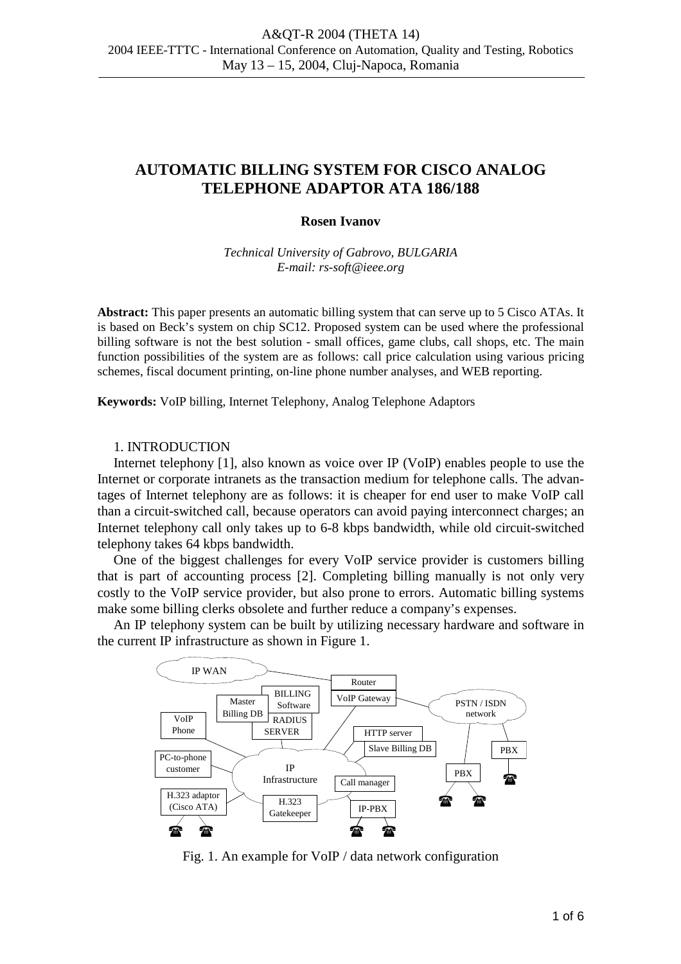# **AUTOMATIC BILLING SYSTEM FOR CISCO ANALOG TELEPHONE ADAPTOR ATA 186/188**

### **Rosen Ivanov**

*Technical University of Gabrovo, BULGARIA E-mail: rs-soft@ieee.org* 

**Abstract:** This paper presents an automatic billing system that can serve up to 5 Cisco ATAs. It is based on Beck's system on chip SC12. Proposed system can be used where the professional billing software is not the best solution - small offices, game clubs, call shops, etc. The main function possibilities of the system are as follows: call price calculation using various pricing schemes, fiscal document printing, on-line phone number analyses, and WEB reporting.

**Keywords:** VoIP billing, Internet Telephony, Analog Telephone Adaptors

#### 1. INTRODUCTION

Internet telephony [1], also known as voice over IP (VoIP) enables people to use the Internet or corporate intranets as the transaction medium for telephone calls. The advantages of Internet telephony are as follows: it is cheaper for end user to make VoIP call than a circuit-switched call, because operators can avoid paying interconnect charges; an Internet telephony call only takes up to 6-8 kbps bandwidth, while old circuit-switched telephony takes 64 kbps bandwidth.

One of the biggest challenges for every VoIP service provider is customers billing that is part of accounting process [2]. Completing billing manually is not only very costly to the VoIP service provider, but also prone to errors. Automatic billing systems make some billing clerks obsolete and further reduce a company's expenses.

An IP telephony system can be built by utilizing necessary hardware and software in the current IP infrastructure as shown in Figure 1.



Fig. 1. An example for VoIP / data network configuration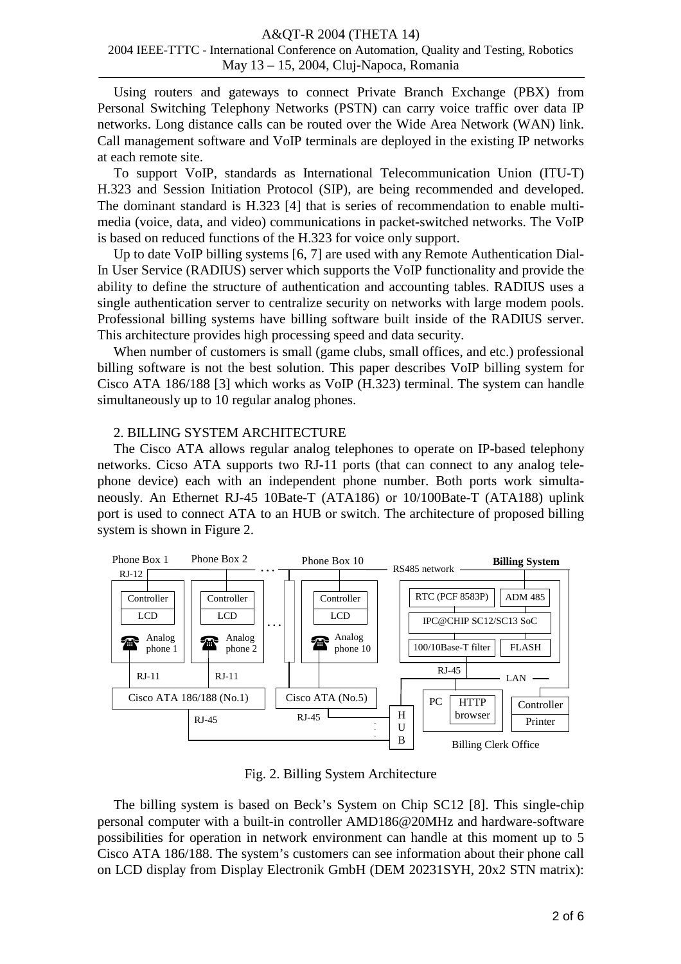#### A&QT-R 2004 (THETA 14) 2004 IEEE-TTTC - International Conference on Automation, Quality and Testing, Robotics May 13 – 15, 2004, Cluj-Napoca, Romania

Using routers and gateways to connect Private Branch Exchange (PBX) from Personal Switching Telephony Networks (PSTN) can carry voice traffic over data IP networks. Long distance calls can be routed over the Wide Area Network (WAN) link. Call management software and VoIP terminals are deployed in the existing IP networks at each remote site.

To support VoIP, standards as International Telecommunication Union (ITU-T) H.323 and Session Initiation Protocol (SIP), are being recommended and developed. The dominant standard is H.323 [4] that is series of recommendation to enable multimedia (voice, data, and video) communications in packet-switched networks. The VoIP is based on reduced functions of the H.323 for voice only support.

Up to date VoIP billing systems [6, 7] are used with any Remote Authentication Dial-In User Service (RADIUS) server which supports the VoIP functionality and provide the ability to define the structure of authentication and accounting tables. RADIUS uses a single authentication server to centralize security on networks with large modem pools. Professional billing systems have billing software built inside of the RADIUS server. This architecture provides high processing speed and data security.

When number of customers is small (game clubs, small offices, and etc.) professional billing software is not the best solution. This paper describes VoIP billing system for Cisco ATA 186/188 [3] which works as VoIP (H.323) terminal. The system can handle simultaneously up to 10 regular analog phones.

## 2. BILLING SYSTEM ARCHITECTURE

The Cisco ATA allows regular analog telephones to operate on IP-based telephony networks. Cicso ATA supports two RJ-11 ports (that can connect to any analog telephone device) each with an independent phone number. Both ports work simultaneously. An Ethernet RJ-45 10Bate-T (ATA186) or 10/100Bate-T (ATA188) uplink port is used to connect ATA to an HUB or switch. The architecture of proposed billing system is shown in Figure 2.



Fig. 2. Billing System Architecture

The billing system is based on Beck's System on Chip SC12 [8]. This single-chip personal computer with a built-in controller AMD186@20MHz and hardware-software possibilities for operation in network environment can handle at this moment up to 5 Cisco ATA 186/188. The system's customers can see information about their phone call on LCD display from Display Electronik GmbH (DEM 20231SYH, 20x2 STN matrix):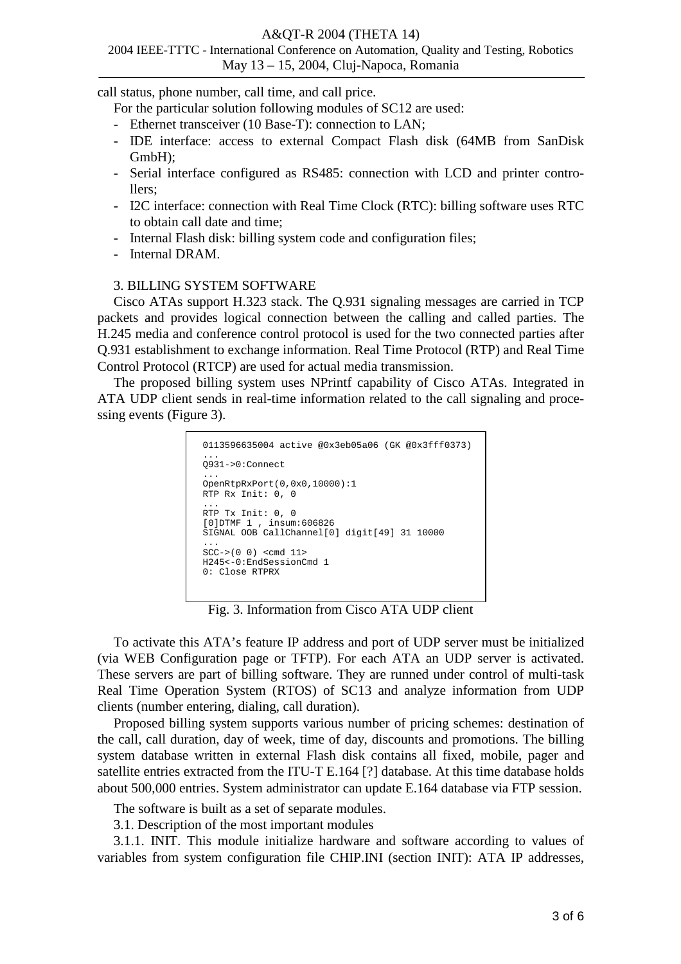#### A&QT-R 2004 (THETA 14)

## 2004 IEEE-TTTC - International Conference on Automation, Quality and Testing, Robotics May 13 – 15, 2004, Cluj-Napoca, Romania

call status, phone number, call time, and call price.

For the particular solution following modules of SC12 are used:

- Ethernet transceiver (10 Base-T): connection to LAN;
- IDE interface: access to external Compact Flash disk (64MB from SanDisk GmbH);
- Serial interface configured as RS485: connection with LCD and printer controllers;
- I2C interface: connection with Real Time Clock (RTC): billing software uses RTC to obtain call date and time;
- Internal Flash disk: billing system code and configuration files;
- Internal DRAM.

## 3. BILLING SYSTEM SOFTWARE

Cisco ATAs support H.323 stack. The Q.931 signaling messages are carried in TCP packets and provides logical connection between the calling and called parties. The H.245 media and conference control protocol is used for the two connected parties after Q.931 establishment to exchange information. Real Time Protocol (RTP) and Real Time Control Protocol (RTCP) are used for actual media transmission.

The proposed billing system uses NPrintf capability of Cisco ATAs. Integrated in ATA UDP client sends in real-time information related to the call signaling and processing events (Figure 3).

```
0113596635004 active @0x3eb05a06 (GK @0x3fff0373) 
... 
Q931->0:Connect 
... 
OpenRtpRxPort(0,0x0,10000):1 
RTP Rx Init: 0, 0 
... 
RTP Tx Init: 0, 0 
[0]DTMF 1 , insum:606826 
SIGNAL OOB CallChannel[0] digit[49] 31 10000 
... 
SCC->(0 0) <cmd 11> 
H245<-0:EndSessionCmd 1 
0: Close RTPRX
```
Fig. 3. Information from Cisco ATA UDP client

To activate this ATA's feature IP address and port of UDP server must be initialized (via WEB Configuration page or TFTP). For each ATA an UDP server is activated. These servers are part of billing software. They are runned under control of multi-task Real Time Operation System (RTOS) of SC13 and analyze information from UDP clients (number entering, dialing, call duration).

Proposed billing system supports various number of pricing schemes: destination of the call, call duration, day of week, time of day, discounts and promotions. The billing system database written in external Flash disk contains all fixed, mobile, pager and satellite entries extracted from the ITU-T E.164 [?] database. At this time database holds about 500,000 entries. System administrator can update E.164 database via FTP session.

The software is built as a set of separate modules.

3.1. Description of the most important modules

3.1.1. INIT. This module initialize hardware and software according to values of variables from system configuration file CHIP.INI (section INIT): ATA IP addresses,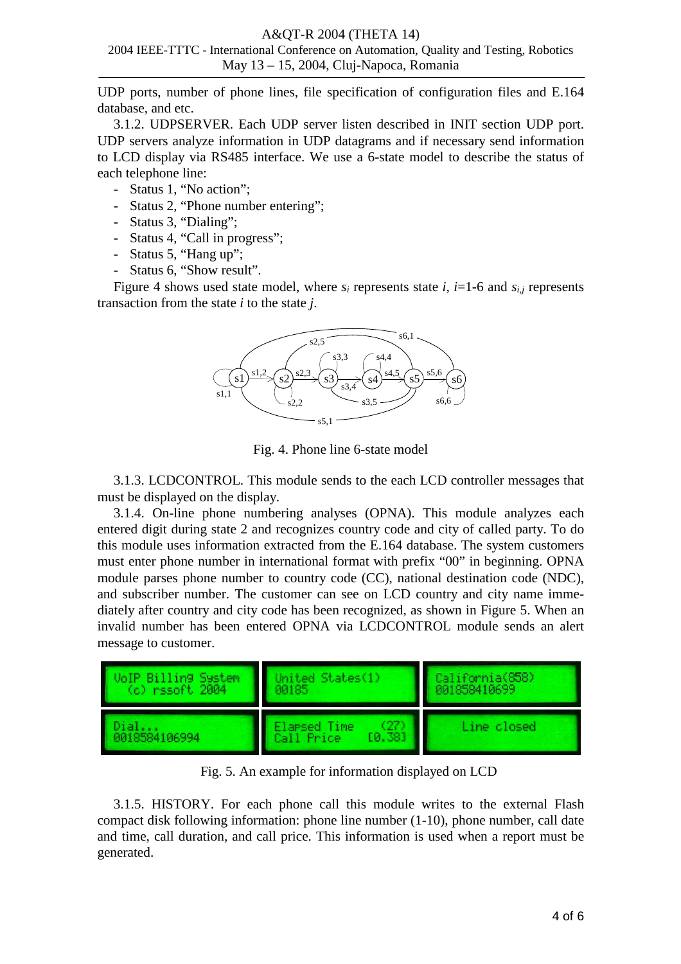### A&QT-R 2004 (THETA 14)

# 2004 IEEE-TTTC - International Conference on Automation, Quality and Testing, Robotics May 13 – 15, 2004, Cluj-Napoca, Romania

UDP ports, number of phone lines, file specification of configuration files and E.164 database, and etc.

3.1.2. UDPSERVER. Each UDP server listen described in INIT section UDP port. UDP servers analyze information in UDP datagrams and if necessary send information to LCD display via RS485 interface. We use a 6-state model to describe the status of each telephone line:

- Status 1, "No action";
- Status 2, "Phone number entering";
- Status 3, "Dialing";
- Status 4, "Call in progress";
- Status 5, "Hang up";
- Status 6, "Show result".

Figure 4 shows used state model, where  $s_i$  represents state *i*, *i*=1-6 and  $s_{i,j}$  represents transaction from the state *i* to the state *j*.



Fig. 4. Phone line 6-state model

3.1.3. LCDCONTROL. This module sends to the each LCD controller messages that must be displayed on the display.

3.1.4. On-line phone numbering analyses (OPNA). This module analyzes each entered digit during state 2 and recognizes country code and city of called party. To do this module uses information extracted from the E.164 database. The system customers must enter phone number in international format with prefix "00" in beginning. OPNA module parses phone number to country code (CC), national destination code (NDC), and subscriber number. The customer can see on LCD country and city name immediately after country and city code has been recognized, as shown in Figure 5. When an invalid number has been entered OPNA via LCDCONTROL module sends an alert message to customer.



Fig. 5. An example for information displayed on LCD

3.1.5. HISTORY. For each phone call this module writes to the external Flash compact disk following information: phone line number (1-10), phone number, call date and time, call duration, and call price. This information is used when a report must be generated.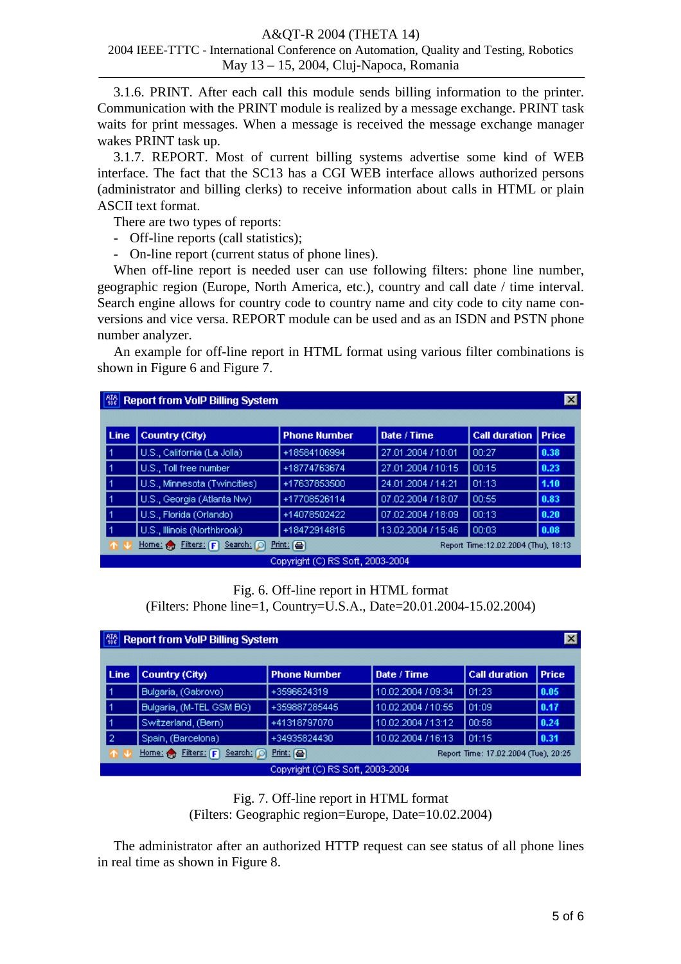#### A&QT-R 2004 (THETA 14) 2004 IEEE-TTTC - International Conference on Automation, Quality and Testing, Robotics

# May 13 – 15, 2004, Cluj-Napoca, Romania

3.1.6. PRINT. After each call this module sends billing information to the printer. Communication with the PRINT module is realized by a message exchange. PRINT task waits for print messages. When a message is received the message exchange manager wakes PRINT task up.

3.1.7. REPORT. Most of current billing systems advertise some kind of WEB interface. The fact that the SC13 has a CGI WEB interface allows authorized persons (administrator and billing clerks) to receive information about calls in HTML or plain ASCII text format.

There are two types of reports:

- Off-line reports (call statistics);
- On-line report (current status of phone lines).

When off-line report is needed user can use following filters: phone line number, geographic region (Europe, North America, etc.), country and call date / time interval. Search engine allows for country code to country name and city code to city name conversions and vice versa. REPORT module can be used and as an ISDN and PSTN phone number analyzer.

An example for off-line report in HTML format using various filter combinations is shown in Figure 6 and Figure 7.

| 7.86<br>$\mathbf{x}$<br><b>Report from VoIP Billing System</b>                                               |                              |                     |                    |                      |              |  |
|--------------------------------------------------------------------------------------------------------------|------------------------------|---------------------|--------------------|----------------------|--------------|--|
|                                                                                                              |                              |                     |                    |                      |              |  |
| Line                                                                                                         | Country (City)               | <b>Phone Number</b> | Date / Time        | <b>Call duration</b> | <b>Price</b> |  |
|                                                                                                              | U.S., California (La Jolla)  | +18584106994        | 27.01.2004 / 10:01 | 00:27                | 0.38         |  |
|                                                                                                              | U.S., Toll free number       | +18774763674        | 27.01.2004 / 10:15 | 00:15                | 0.23         |  |
|                                                                                                              | U.S., Minnesota (Twincities) | +17637853500        | 24.01.2004 / 14:21 | 101:13               | 1.10         |  |
|                                                                                                              | U.S., Georgia (Atlanta Nw)   | +17708526114        | 07.02.2004 / 18:07 | 00:55                | 0.83         |  |
|                                                                                                              | U.S., Florida (Orlando)      | +14078502422        | 07.02.2004 / 18:09 | 00:13                | 0.20         |  |
|                                                                                                              | U.S., Illinois (Northbrook)  | +18472914816        | 13.02.2004 / 15:46 | 00:03                | 0.08         |  |
| $Print$ $@$<br>$F$ ilters: $F$<br>Search: $\Box$<br>Home: $\bigoplus$<br>Report Time:12.02.2004 (Thu), 18:13 |                              |                     |                    |                      |              |  |
| Copyright (C) RS Soft, 2003-2004                                                                             |                              |                     |                    |                      |              |  |

Fig. 6. Off-line report in HTML format

(Filters: Phone line=1, Country=U.S.A., Date=20.01.2004-15.02.2004)

| $\frac{618}{186}$<br>⊠<br><b>Report from VoIP Billing System</b>                                             |                          |                     |                    |                      |              |  |  |
|--------------------------------------------------------------------------------------------------------------|--------------------------|---------------------|--------------------|----------------------|--------------|--|--|
| Line                                                                                                         | Country (City)           | <b>Phone Number</b> | Date / Time        | <b>Call duration</b> | <b>Price</b> |  |  |
|                                                                                                              | Bulgaria, (Gabrovo)      | +3596624319         | 10.02.2004 / 09:34 | 101:23               | 0.05         |  |  |
|                                                                                                              | Bulgaria, (M-TEL GSM BG) | +359887285445       | 10.02.2004 / 10:55 | 1 01:09              | 0.17         |  |  |
|                                                                                                              | Switzerland, (Bern)      | +41318797070        | 10.02.2004 / 13:12 | 1 00:58              | 0.24         |  |  |
| 2                                                                                                            | Spain, (Barcelona)       | +34935824430        | 10.02.2004 / 16:13 | 101:15               | 0.31         |  |  |
| Home: $\bigoplus$ Filters: $\bigcap$<br>$Print: [$<br>Search: $\Box$<br>Report Time: 17.02.2004 (Tue), 20:25 |                          |                     |                    |                      |              |  |  |
| Copyright (C) RS Soft, 2003-2004                                                                             |                          |                     |                    |                      |              |  |  |

Fig. 7. Off-line report in HTML format (Filters: Geographic region=Europe, Date=10.02.2004)

The administrator after an authorized HTTP request can see status of all phone lines in real time as shown in Figure 8.